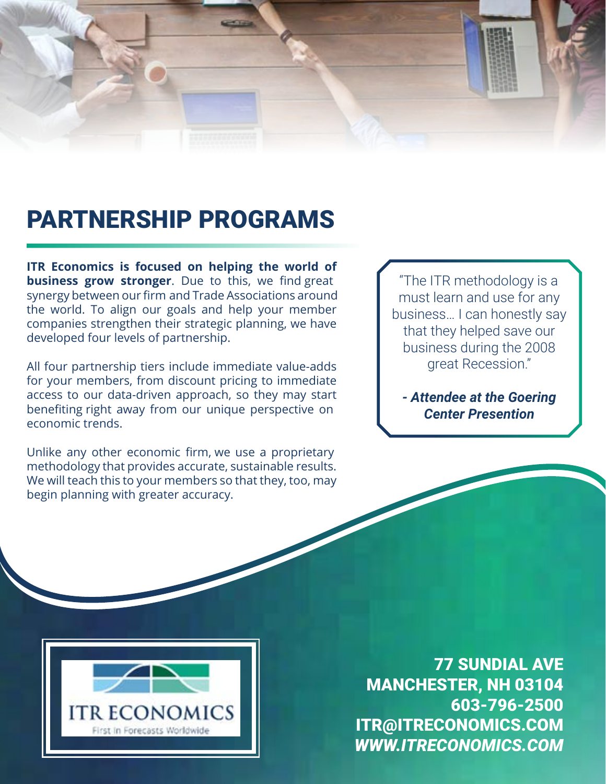

## PARTNERSHIP PROGRAMS

**ITR Economics is focused on helping the world of business grow stronger**. Due to this, we find great synergy between our firm and Trade Associations around the world. To align our goals and help your member companies strengthen their strategic planning, we have developed four levels of partnership.

All four partnership tiers include immediate value-adds for your members, from discount pricing to immediate access to our data-driven approach, so they may start benefiting right away from our unique perspective on economic trends.

Unlike any other economic firm, we use a proprietary methodology that provides accurate, sustainable results. We will teach this to your members so that they, too, may begin planning with greater accuracy.

"The ITR methodology is a must learn and use for any business… I can honestly say that they helped save our business during the 2008 great Recession."

*- Attendee at the Goering Center Presention*



77 SUNDIAL AVE MANCHESTER, NH 03104 603-796-2500 ITR@ITRECONOMICS.COM *WWW.ITRECONOMICS.COM*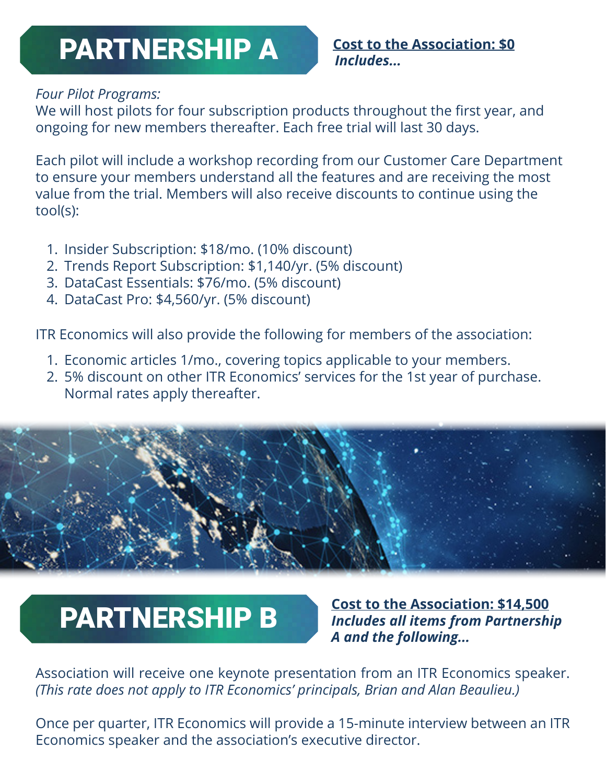### **Cost to the Association: \$0** PARTNERSHIP A **Cost to the PARTNERSHIP**

### *Four Pilot Programs:*

We will host pilots for four subscription products throughout the first year, and ongoing for new members thereafter. Each free trial will last 30 days.

Each pilot will include a workshop recording from our Customer Care Department to ensure your members understand all the features and are receiving the most value from the trial. Members will also receive discounts to continue using the tool(s):

- 1. Insider Subscription: \$18/mo. (10% discount)
- 2. Trends Report Subscription: \$1,140/yr. (5% discount)
- 3. DataCast Essentials: \$76/mo. (5% discount)
- 4. DataCast Pro: \$4,560/yr. (5% discount)

ITR Economics will also provide the following for members of the association:

- 1. Economic articles 1/mo., covering topics applicable to your members.
- 2. 5% discount on other ITR Economics' services for the 1st year of purchase. Normal rates apply thereafter.



**PARTNERSHIP B** Cost to the Association: \$14,500 *Includes all items from Partnership A and the following...*

Association will receive one keynote presentation from an ITR Economics speaker. *(This rate does not apply to ITR Economics' principals, Brian and Alan Beaulieu.)*

Once per quarter, ITR Economics will provide a 15-minute interview between an ITR Economics speaker and the association's executive director.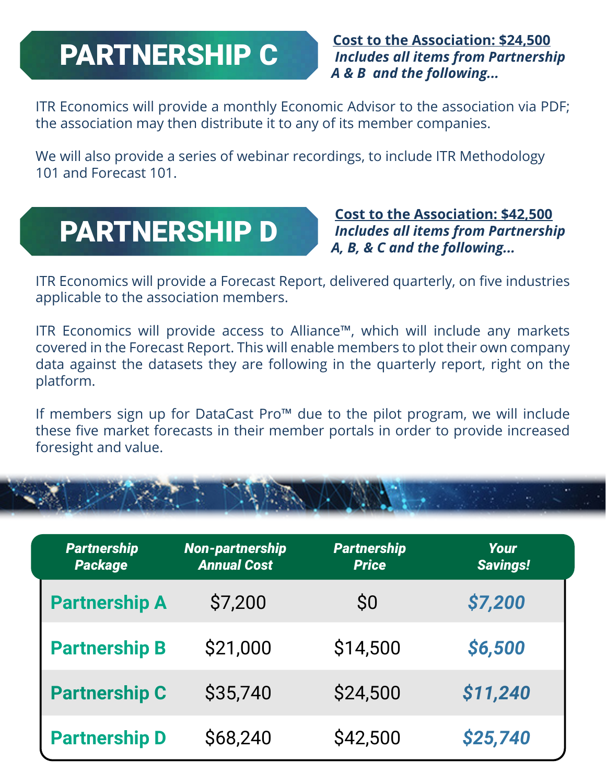ITR Economics will provide a monthly Economic Advisor to the association via PDF; the association may then distribute it to any of its member companies.

We will also provide a series of webinar recordings, to include ITR Methodology 101 and Forecast 101.

# PARTNERSHIP D

 **Cost to the Association: \$42,500**  *Includes all items from Partnership A, B, & C and the following...*

ITR Economics will provide a Forecast Report, delivered quarterly, on five industries applicable to the association members.

ITR Economics will provide access to Alliance™, which will include any markets covered in the Forecast Report. This will enable members to plot their own company data against the datasets they are following in the quarterly report, right on the platform.

If members sign up for DataCast Pro™ due to the pilot program, we will include these five market forecasts in their member portals in order to provide increased foresight and value.



| <b>Partnership</b><br><b>Package</b> | <b>Non-partnership</b><br><b>Annual Cost</b> | <b>Partnership</b><br><b>Price</b> | Your<br><b>Savings!</b> |
|--------------------------------------|----------------------------------------------|------------------------------------|-------------------------|
| <b>Partnership A</b>                 | \$7,200                                      | S <sub>0</sub>                     | \$7,200                 |
| <b>Partnership B</b>                 | \$21,000                                     | \$14,500                           | \$6,500                 |
| <b>Partnership C</b>                 | \$35,740                                     | \$24,500                           | \$11,240                |
| <b>Partnership D</b>                 | \$68,240                                     | \$42,500                           | \$25,740                |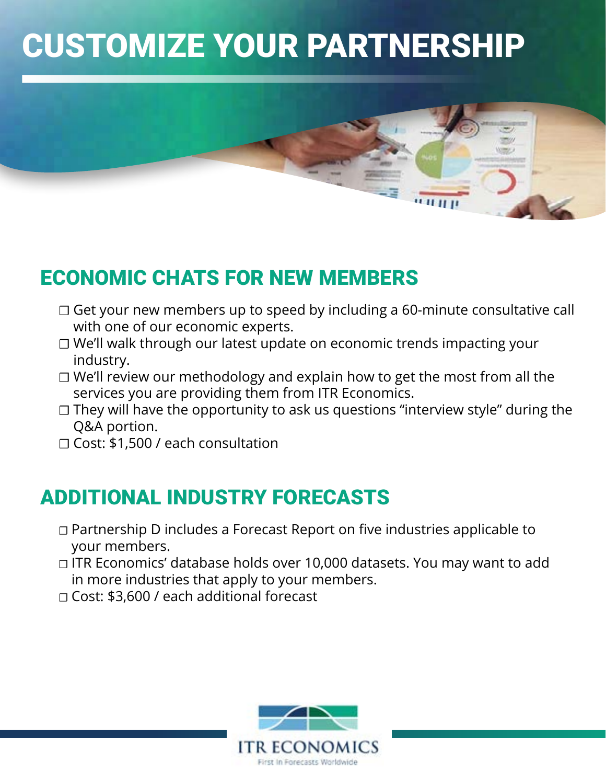# CUSTOMIZE YOUR PARTNERSHIP



### ECONOMIC CHATS FOR NEW MEMBERS

- ☐ Get your new members up to speed by including a 60-minute consultative call with one of our economic experts.
- ☐ We'll walk through our latest update on economic trends impacting your industry.
- ☐ We'll review our methodology and explain how to get the most from all the services you are providing them from ITR Economics.
- □ They will have the opportunity to ask us questions "interview style" during the Q&A portion.
- ☐ Cost: \$1,500 / each consultation

### ADDITIONAL INDUSTRY FORECASTS

- ☐ Partnership D includes a Forecast Report on five industries applicable to your members.
- ☐ ITR Economics' database holds over 10,000 datasets. You may want to add in more industries that apply to your members.
- ☐ Cost: \$3,600 / each additional forecast

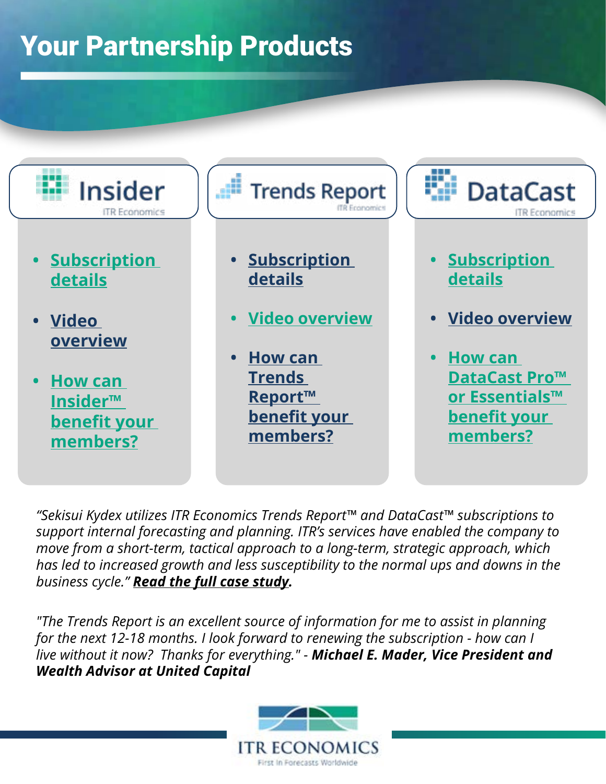# Your Partnership Products



*"Sekisui Kydex utilizes ITR Economics Trends Report™ and DataCast™ subscriptions to support internal forecasting and planning. ITR's services have enabled the company to move from a short-term, tactical approach to a long-term, strategic approach, which has led to increased growth and less susceptibility to the normal ups and downs in the business cycle." [Read the full case study.](https://cdn2.hubspot.net/hubfs/4424930/SekisuiKydexCaseStudy.pdf)*

*"The Trends Report is an excellent source of information for me to assist in planning for the next 12-18 months. I look forward to renewing the subscription - how can I live without it now? Thanks for everything." - Michael E. Mader, Vice President and Wealth Advisor at United Capital*